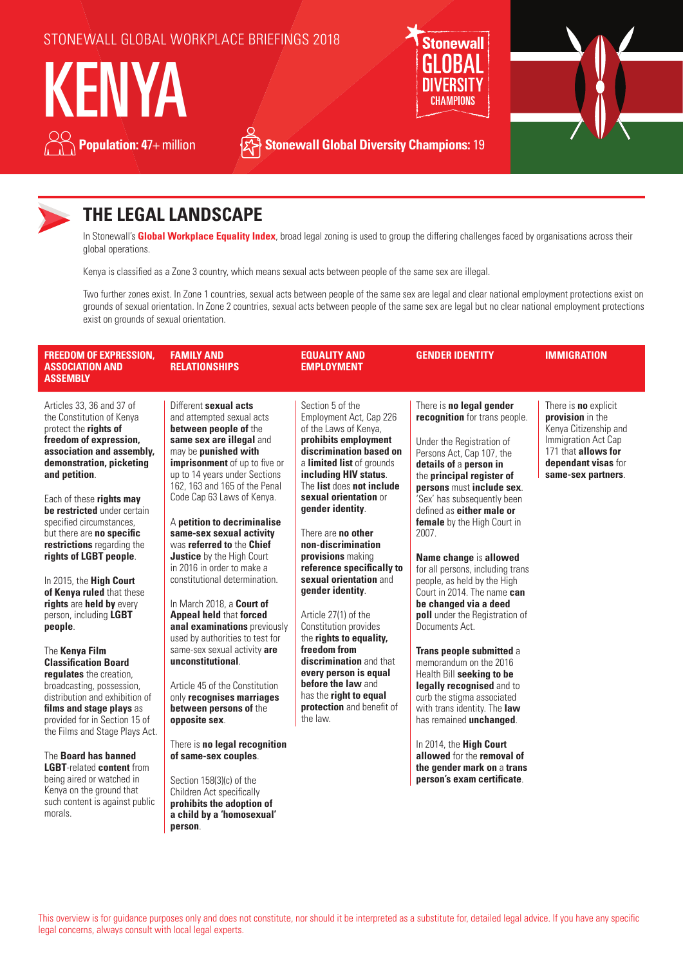

**Population: 47+ million See Stonewall Global Diversity Champions:** 19



## **THE LEGAL LANDSCAPE**

In Stonewall's **Global Workplace Equality Index**, broad legal zoning is used to group the differing challenges faced by organisations across their global operations.

Kenya is classified as a Zone 3 country, which means sexual acts between people of the same sex are illegal.

Two further zones exist. In Zone 1 countries, sexual acts between people of the same sex are legal and clear national employment protections exist on grounds of sexual orientation. In Zone 2 countries, sexual acts between people of the same sex are legal but no clear national employment protections exist on grounds of sexual orientation.

| <b>FREEDOM OF EXPRESSION,</b><br><b>ASSOCIATION AND</b><br><b>ASSEMBLY</b>                                                                                                                                                                                                                                                                                                                                                                                                                                                                                                                                                                                                                                                                                                                                                                                                                           | <b>FAMILY AND</b><br><b>RELATIONSHIPS</b>                                                                                                                                                                                                                                                                                                                                                                                                                                                                                                                                                                                                                                                                                                                                                                                                                                                                                                           | <b>EQUALITY AND</b><br>EMPLOYMENT                                                                                                                                                                                                                                                                                                                                                                                                                                                                                                                                                                                                            | <b>GENDER IDENTITY</b>                                                                                                                                                                                                                                                                                                                                                                                                                                                                                                                                                                                                                                                                                                                                                                                                                                    | <b>IMMIGRATION</b>                                                                                                                                                  |
|------------------------------------------------------------------------------------------------------------------------------------------------------------------------------------------------------------------------------------------------------------------------------------------------------------------------------------------------------------------------------------------------------------------------------------------------------------------------------------------------------------------------------------------------------------------------------------------------------------------------------------------------------------------------------------------------------------------------------------------------------------------------------------------------------------------------------------------------------------------------------------------------------|-----------------------------------------------------------------------------------------------------------------------------------------------------------------------------------------------------------------------------------------------------------------------------------------------------------------------------------------------------------------------------------------------------------------------------------------------------------------------------------------------------------------------------------------------------------------------------------------------------------------------------------------------------------------------------------------------------------------------------------------------------------------------------------------------------------------------------------------------------------------------------------------------------------------------------------------------------|----------------------------------------------------------------------------------------------------------------------------------------------------------------------------------------------------------------------------------------------------------------------------------------------------------------------------------------------------------------------------------------------------------------------------------------------------------------------------------------------------------------------------------------------------------------------------------------------------------------------------------------------|-----------------------------------------------------------------------------------------------------------------------------------------------------------------------------------------------------------------------------------------------------------------------------------------------------------------------------------------------------------------------------------------------------------------------------------------------------------------------------------------------------------------------------------------------------------------------------------------------------------------------------------------------------------------------------------------------------------------------------------------------------------------------------------------------------------------------------------------------------------|---------------------------------------------------------------------------------------------------------------------------------------------------------------------|
| Articles 33, 36 and 37 of<br>the Constitution of Kenya<br>protect the rights of<br>freedom of expression,<br>association and assembly,<br>demonstration, picketing<br>and petition.<br>Each of these rights may<br>be restricted under certain<br>specified circumstances.<br>but there are no specific<br>restrictions regarding the<br>rights of LGBT people.<br>In 2015, the High Court<br>of Kenya ruled that these<br>rights are held by every<br>person, including LGBT<br>people.<br>The Kenya Film<br><b>Classification Board</b><br>regulates the creation,<br>broadcasting, possession,<br>distribution and exhibition of<br>films and stage plays as<br>provided for in Section 15 of<br>the Films and Stage Plays Act.<br>The Board has banned<br><b>LGBT-related content from</b><br>being aired or watched in<br>Kenya on the ground that<br>such content is against public<br>morals. | Different sexual acts<br>and attempted sexual acts<br>between people of the<br>same sex are illegal and<br>may be punished with<br>imprisonment of up to five or<br>up to 14 years under Sections<br>162, 163 and 165 of the Penal<br>Code Cap 63 Laws of Kenya.<br>A petition to decriminalise<br>same-sex sexual activity<br>was referred to the Chief<br><b>Justice</b> by the High Court<br>in 2016 in order to make a<br>constitutional determination.<br>In March 2018, a Court of<br><b>Appeal held that forced</b><br>anal examinations previously<br>used by authorities to test for<br>same-sex sexual activity are<br>unconstitutional.<br>Article 45 of the Constitution<br>only recognises marriages<br>between persons of the<br>opposite sex.<br>There is no legal recognition<br>of same-sex couples.<br>Section 158(3)(c) of the<br>Children Act specifically<br>prohibits the adoption of<br>a child by a 'homosexual'<br>person. | Section 5 of the<br>Employment Act, Cap 226<br>of the Laws of Kenya,<br>prohibits employment<br>discrimination based on<br>a limited list of grounds<br>including HIV status.<br>The list does not include<br>sexual orientation or<br>gender identity.<br>There are no other<br>non-discrimination<br>provisions making<br>reference specifically to<br>sexual orientation and<br>gender identity.<br>Article 27(1) of the<br>Constitution provides<br>the rights to equality,<br>freedom from<br>discrimination and that<br>every person is equal<br>before the law and<br>has the right to equal<br>protection and benefit of<br>the law. | There is no legal gender<br>recognition for trans people.<br>Under the Registration of<br>Persons Act, Cap 107, the<br>details of a person in<br>the principal register of<br>persons must include sex.<br>'Sex' has subsequently been<br>defined as <b>either male or</b><br>female by the High Court in<br>2007.<br>Name change is allowed<br>for all persons, including trans<br>people, as held by the High<br>Court in 2014. The name can<br>be changed via a deed<br>poll under the Registration of<br>Documents Act.<br>Trans people submitted a<br>memorandum on the 2016<br>Health Bill seeking to be<br>legally recognised and to<br>curb the stigma associated<br>with trans identity. The law<br>has remained unchanged.<br>In 2014, the High Court<br>allowed for the removal of<br>the gender mark on a trans<br>person's exam certificate. | There is <b>no</b> explicit<br>provision in the<br>Kenya Citizenship and<br>Immigration Act Cap<br>171 that allows for<br>dependant visas for<br>same-sex partners. |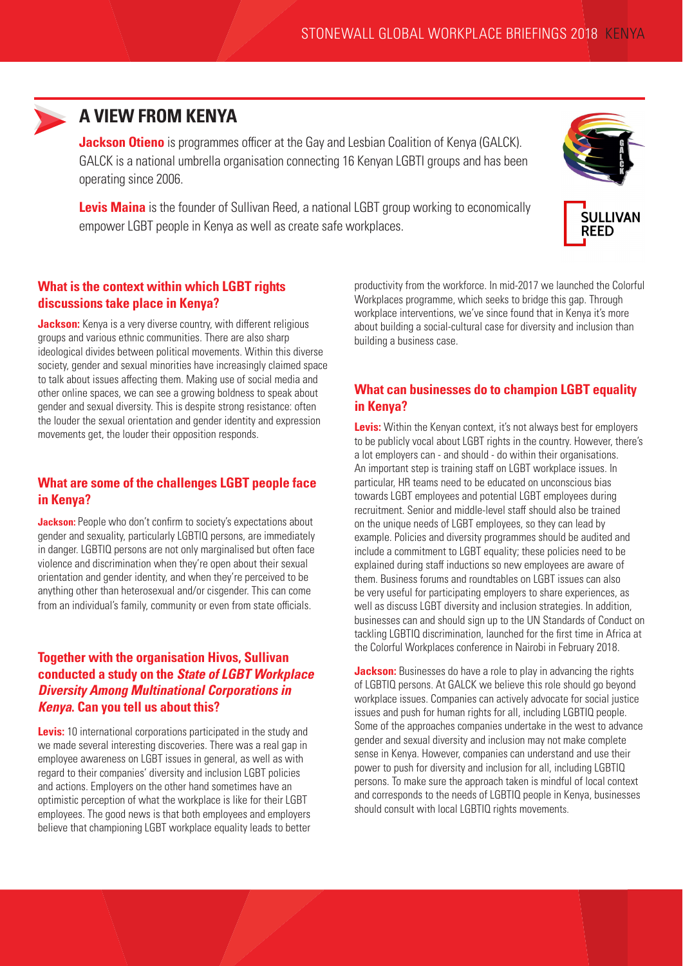

# **A VIEW FROM KENYA**

**Jackson Otieno** is programmes officer at the Gay and Lesbian Coalition of Kenya (GALCK). GALCK is a national umbrella organisation connecting 16 Kenyan LGBTI groups and has been operating since 2006.

**Levis Maina** is the founder of Sullivan Reed, a national LGBT group working to economically empower LGBT people in Kenya as well as create safe workplaces.



### **What is the context within which LGBT rights discussions take place in Kenya?**

**Jackson:** Kenya is a very diverse country, with different religious groups and various ethnic communities. There are also sharp ideological divides between political movements. Within this diverse society, gender and sexual minorities have increasingly claimed space to talk about issues affecting them. Making use of social media and other online spaces, we can see a growing boldness to speak about gender and sexual diversity. This is despite strong resistance: often the louder the sexual orientation and gender identity and expression movements get, the louder their opposition responds.

#### **What are some of the challenges LGBT people face in Kenya?**

**Jackson:** People who don't confirm to society's expectations about gender and sexuality, particularly LGBTIQ persons, are immediately in danger. LGBTIQ persons are not only marginalised but often face violence and discrimination when they're open about their sexual orientation and gender identity, and when they're perceived to be anything other than heterosexual and/or cisgender. This can come from an individual's family, community or even from state officials.

#### **Together with the organisation Hivos, Sullivan conducted a study on the** *State of LGBT Workplace Diversity Among Multinational Corporations in Kenya***. Can you tell us about this?**

**Levis:** 10 international corporations participated in the study and we made several interesting discoveries. There was a real gap in employee awareness on LGBT issues in general, as well as with regard to their companies' diversity and inclusion LGBT policies and actions. Employers on the other hand sometimes have an optimistic perception of what the workplace is like for their LGBT employees. The good news is that both employees and employers believe that championing LGBT workplace equality leads to better

productivity from the workforce. In mid-2017 we launched the Colorful Workplaces programme, which seeks to bridge this gap. Through workplace interventions, we've since found that in Kenya it's more about building a social-cultural case for diversity and inclusion than building a business case.

### **What can businesses do to champion LGBT equality in Kenya?**

**Levis:** Within the Kenyan context, it's not always best for employers to be publicly vocal about LGBT rights in the country. However, there's a lot employers can - and should - do within their organisations. An important step is training staff on LGBT workplace issues. In particular, HR teams need to be educated on unconscious bias towards LGBT employees and potential LGBT employees during recruitment. Senior and middle-level staff should also be trained on the unique needs of LGBT employees, so they can lead by example. Policies and diversity programmes should be audited and include a commitment to LGBT equality; these policies need to be explained during staff inductions so new employees are aware of them. Business forums and roundtables on LGBT issues can also be very useful for participating employers to share experiences, as well as discuss LGBT diversity and inclusion strategies. In addition, businesses can and should sign up to the UN Standards of Conduct on tackling LGBTIQ discrimination, launched for the first time in Africa at the Colorful Workplaces conference in Nairobi in February 2018.

**Jackson:** Businesses do have a role to play in advancing the rights of LGBTIQ persons. At GALCK we believe this role should go beyond workplace issues. Companies can actively advocate for social justice issues and push for human rights for all, including LGBTIQ people. Some of the approaches companies undertake in the west to advance gender and sexual diversity and inclusion may not make complete sense in Kenya. However, companies can understand and use their power to push for diversity and inclusion for all, including LGBTIQ persons. To make sure the approach taken is mindful of local context and corresponds to the needs of LGBTIQ people in Kenya, businesses should consult with local LGBTIQ rights movements.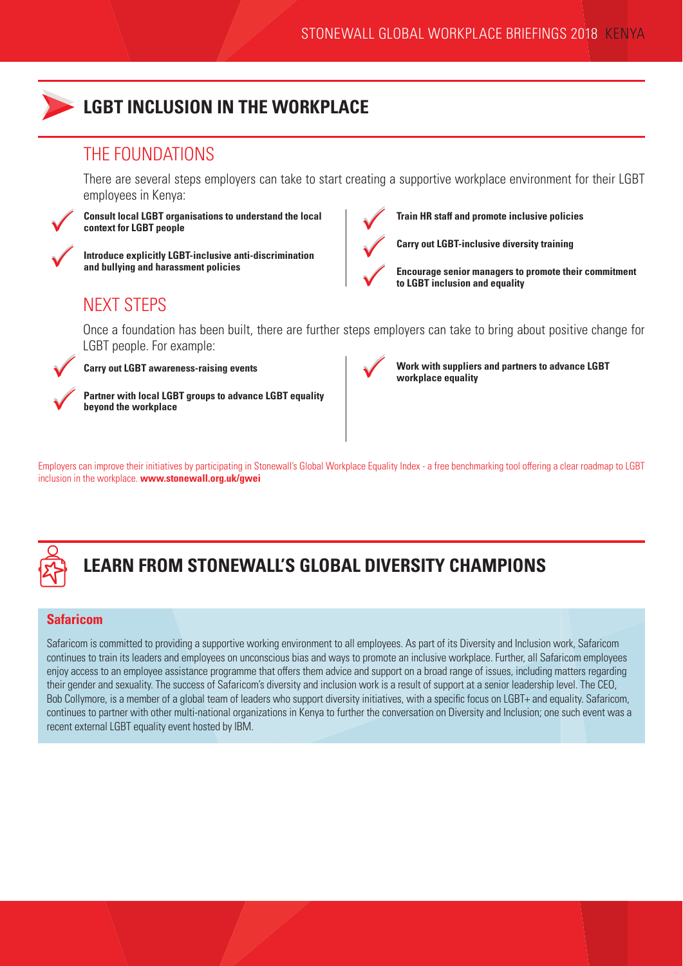

## **LGBT INCLUSION IN THE WORKPLACE**

## THE FOUNDATIONS

There are several steps employers can take to start creating a supportive workplace environment for their LGBT employees in Kenya:



**Consult local LGBT organisations to understand the local context for LGBT people**



**Introduce explicitly LGBT-inclusive anti-discrimination and bullying and harassment policies**



**Train HR staff and promote inclusive policies**

**Carry out LGBT-inclusive diversity training**



**Encourage senior managers to promote their commitment to LGBT inclusion and equality** 

# NEXT STEPS

Once a foundation has been built, there are further steps employers can take to bring about positive change for LGBT people. For example:



**Carry out LGBT awareness-raising events**





**Work with suppliers and partners to advance LGBT workplace equality**

Employers can improve their initiatives by participating in Stonewall's Global Workplace Equality Index - a free benchmarking tool offering a clear roadmap to LGBT inclusion in the workplace. **www.stonewall.org.uk/gwei**



# **LEARN FROM STONEWALL'S GLOBAL DIVERSITY CHAMPIONS**

## **Safaricom**

Safaricom is committed to providing a supportive working environment to all employees. As part of its Diversity and Inclusion work, Safaricom continues to train its leaders and employees on unconscious bias and ways to promote an inclusive workplace. Further, all Safaricom employees enjoy access to an employee assistance programme that offers them advice and support on a broad range of issues, including matters regarding their gender and sexuality. The success of Safaricom's diversity and inclusion work is a result of support at a senior leadership level. The CEO, Bob Collymore, is a member of a global team of leaders who support diversity initiatives, with a specific focus on LGBT+ and equality. Safaricom, continues to partner with other multi-national organizations in Kenya to further the conversation on Diversity and Inclusion; one such event was a recent external LGBT equality event hosted by IBM.